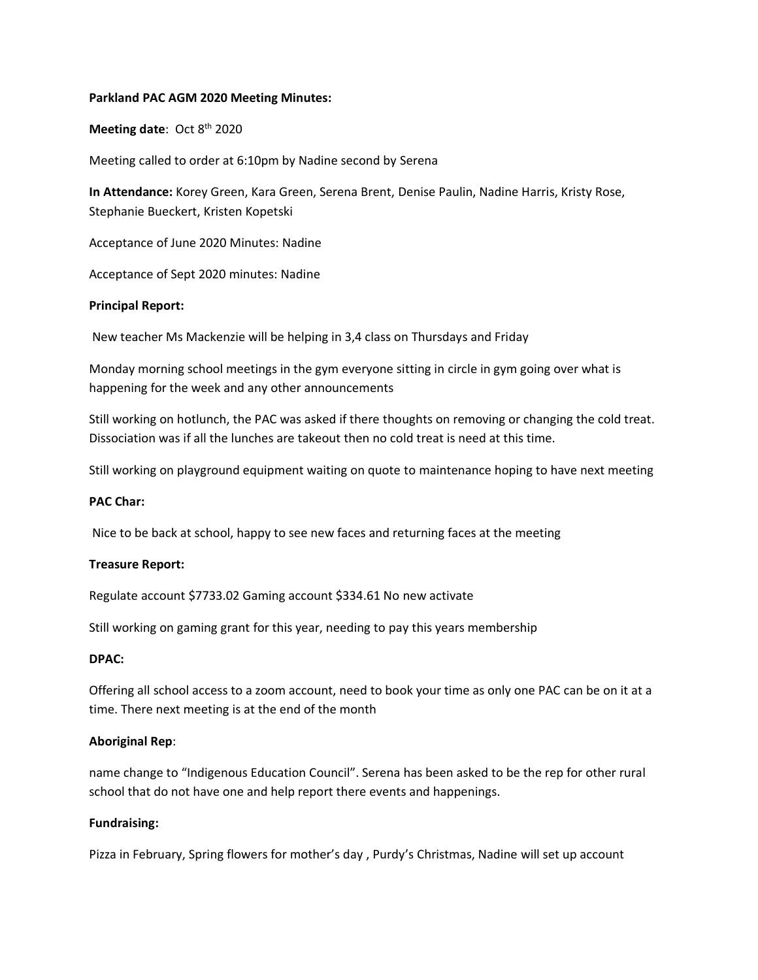## **Parkland PAC AGM 2020 Meeting Minutes:**

**Meeting date: Oct 8th 2020** 

Meeting called to order at 6:10pm by Nadine second by Serena

**In Attendance:** Korey Green, Kara Green, Serena Brent, Denise Paulin, Nadine Harris, Kristy Rose, Stephanie Bueckert, Kristen Kopetski

Acceptance of June 2020 Minutes: Nadine

Acceptance of Sept 2020 minutes: Nadine

## **Principal Report:**

New teacher Ms Mackenzie will be helping in 3,4 class on Thursdays and Friday

Monday morning school meetings in the gym everyone sitting in circle in gym going over what is happening for the week and any other announcements

Still working on hotlunch, the PAC was asked if there thoughts on removing or changing the cold treat. Dissociation was if all the lunches are takeout then no cold treat is need at this time.

Still working on playground equipment waiting on quote to maintenance hoping to have next meeting

#### **PAC Char:**

Nice to be back at school, happy to see new faces and returning faces at the meeting

# **Treasure Report:**

Regulate account \$7733.02 Gaming account \$334.61 No new activate

Still working on gaming grant for this year, needing to pay this years membership

#### **DPAC:**

Offering all school access to a zoom account, need to book your time as only one PAC can be on it at a time. There next meeting is at the end of the month

#### **Aboriginal Rep**:

name change to "Indigenous Education Council". Serena has been asked to be the rep for other rural school that do not have one and help report there events and happenings.

# **Fundraising:**

Pizza in February, Spring flowers for mother's day , Purdy's Christmas, Nadine will set up account